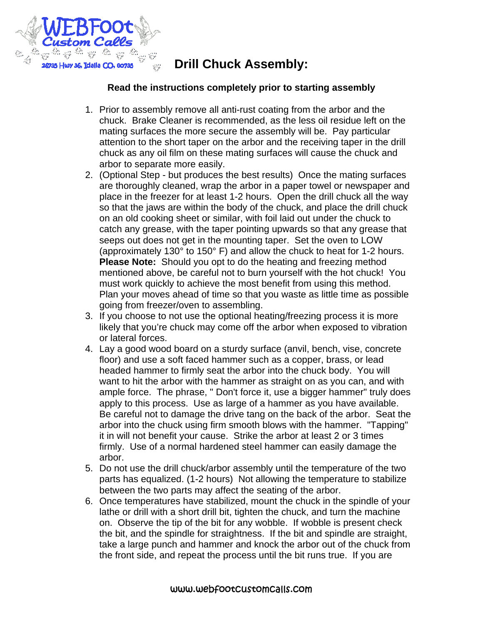

## **Drill Chuck Assembly:**

## **Read the instructions completely prior to starting assembly**

- 1. Prior to assembly remove all anti-rust coating from the arbor and the chuck. Brake Cleaner is recommended, as the less oil residue left on the mating surfaces the more secure the assembly will be. Pay particular attention to the short taper on the arbor and the receiving taper in the drill chuck as any oil film on these mating surfaces will cause the chuck and arbor to separate more easily.
- 2. (Optional Step but produces the best results) Once the mating surfaces are thoroughly cleaned, wrap the arbor in a paper towel or newspaper and place in the freezer for at least 1-2 hours. Open the drill chuck all the way so that the jaws are within the body of the chuck, and place the drill chuck on an old cooking sheet or similar, with foil laid out under the chuck to catch any grease, with the taper pointing upwards so that any grease that seeps out does not get in the mounting taper. Set the oven to LOW (approximately 130° to 150° F) and allow the chuck to heat for 1-2 hours. **Please Note:** Should you opt to do the heating and freezing method mentioned above, be careful not to burn yourself with the hot chuck! You must work quickly to achieve the most benefit from using this method. Plan your moves ahead of time so that you waste as little time as possible going from freezer/oven to assembling.
- 3. If you choose to not use the optional heating/freezing process it is more likely that you're chuck may come off the arbor when exposed to vibration or lateral forces.
- 4. Lay a good wood board on a sturdy surface (anvil, bench, vise, concrete floor) and use a soft faced hammer such as a copper, brass, or lead headed hammer to firmly seat the arbor into the chuck body. You will want to hit the arbor with the hammer as straight on as you can, and with ample force. The phrase, " Don't force it, use a bigger hammer" truly does apply to this process. Use as large of a hammer as you have available. Be careful not to damage the drive tang on the back of the arbor. Seat the arbor into the chuck using firm smooth blows with the hammer. "Tapping" it in will not benefit your cause. Strike the arbor at least 2 or 3 times firmly. Use of a normal hardened steel hammer can easily damage the arbor.
- 5. Do not use the drill chuck/arbor assembly until the temperature of the two parts has equalized. (1-2 hours) Not allowing the temperature to stabilize between the two parts may affect the seating of the arbor.
- 6. Once temperatures have stabilized, mount the chuck in the spindle of your lathe or drill with a short drill bit, tighten the chuck, and turn the machine on. Observe the tip of the bit for any wobble. If wobble is present check the bit, and the spindle for straightness. If the bit and spindle are straight, take a large punch and hammer and knock the arbor out of the chuck from the front side, and repeat the process until the bit runs true. If you are